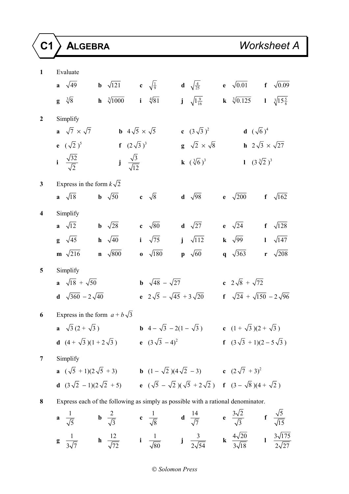| $\mathbf{1}$            | Evaluate                                                                         |                                                                       |                                      |                                                                                                                                                                                                                  |                                                               |                                               |
|-------------------------|----------------------------------------------------------------------------------|-----------------------------------------------------------------------|--------------------------------------|------------------------------------------------------------------------------------------------------------------------------------------------------------------------------------------------------------------|---------------------------------------------------------------|-----------------------------------------------|
|                         | a $\sqrt{49}$                                                                    | <b>b</b> $\sqrt{121}$ <b>c</b> $\sqrt{\frac{1}{9}}$                   |                                      | <b>d</b> $\sqrt{\frac{4}{25}}$                                                                                                                                                                                   |                                                               | <b>e</b> $\sqrt{0.01}$ <b>f</b> $\sqrt{0.09}$ |
|                         | $\mathbf{g} \quad \sqrt[3]{8}$                                                   | <b>h</b> $\sqrt[3]{1000}$ <b>i</b> $\sqrt[4]{81}$                     |                                      | $j \sqrt{1\frac{9}{16}}$                                                                                                                                                                                         | <b>k</b> $\sqrt[3]{0.125}$ <b>l</b> $\sqrt[3]{15\frac{5}{8}}$ |                                               |
| $\mathbf{2}$            | Simplify                                                                         |                                                                       |                                      |                                                                                                                                                                                                                  |                                                               |                                               |
|                         | a $\sqrt{7} \times \sqrt{7}$                                                     |                                                                       | <b>b</b> $4\sqrt{5} \times \sqrt{5}$ | c $(3\sqrt{3})^2$                                                                                                                                                                                                |                                                               | <b>d</b> $(\sqrt{6})^4$                       |
|                         | <b>e</b> $(\sqrt{2})^5$                                                          |                                                                       | <b>f</b> $(2\sqrt{3})^3$             | $\mathbf{g} \quad \sqrt{2} \times \sqrt{8}$                                                                                                                                                                      |                                                               | <b>h</b> $2\sqrt{3} \times \sqrt{27}$         |
|                         | i $\frac{\sqrt{32}}{\sqrt{2}}$                                                   | $j \frac{\sqrt{3}}{\sqrt{12}}$                                        |                                      | <b>k</b> $(\sqrt[3]{6})^3$                                                                                                                                                                                       | 1 $(3\sqrt[3]{2})^3$                                          |                                               |
| $\mathbf{3}$            | Express in the form $k\sqrt{2}$                                                  |                                                                       |                                      |                                                                                                                                                                                                                  |                                                               |                                               |
|                         | $a \sqrt{18}$                                                                    | <b>b</b> $\sqrt{50}$                                                  | c $\sqrt{8}$                         | <b>d</b> $\sqrt{98}$                                                                                                                                                                                             | $\frac{\mathrm{e}}{\sqrt{200}}$                               | f $\sqrt{162}$                                |
| $\overline{\mathbf{4}}$ | Simplify                                                                         |                                                                       |                                      |                                                                                                                                                                                                                  |                                                               |                                               |
|                         | <b>a</b> $\sqrt{12}$ <b>b</b> $\sqrt{28}$                                        |                                                                       | c $\sqrt{80}$                        | <b>d</b> $\sqrt{27}$                                                                                                                                                                                             | e $\sqrt{24}$                                                 | f $\sqrt{128}$                                |
|                         | $\mathbf{g} \quad \sqrt{45}$                                                     | $h \sqrt{40}$                                                         | i $\sqrt{75}$                        | $j \sqrt{112}$                                                                                                                                                                                                   | $\mathbf{k}$ $\sqrt{99}$                                      | $1 \sqrt{147}$                                |
|                         | $m \sqrt{216}$                                                                   | $\mathbf{n}$ $\sqrt{800}$                                             | $\overline{\textbf{0}}$ $\sqrt{180}$ | $\mathbf{p} \sqrt{60}$                                                                                                                                                                                           | q $\sqrt{363}$                                                | r $\sqrt{208}$                                |
| 5                       | Simplify                                                                         |                                                                       |                                      |                                                                                                                                                                                                                  |                                                               |                                               |
|                         | <b>a</b> $\sqrt{18} + \sqrt{50}$                                                 |                                                                       | <b>b</b> $\sqrt{48} - \sqrt{27}$     |                                                                                                                                                                                                                  | c $2\sqrt{8} + \sqrt{72}$                                     |                                               |
|                         | <b>d</b> $\sqrt{360} - 2\sqrt{40}$                                               |                                                                       |                                      | e $2\sqrt{5} - \sqrt{45} + 3\sqrt{20}$                                                                                                                                                                           |                                                               | f $\sqrt{24} + \sqrt{150} - 2\sqrt{96}$       |
| 6                       |                                                                                  | Express in the form $a + b\sqrt{3}$                                   |                                      |                                                                                                                                                                                                                  |                                                               |                                               |
|                         | a $\sqrt{3}(2+\sqrt{3})$                                                         |                                                                       |                                      | <b>b</b> $4 - \sqrt{3} - 2(1 - \sqrt{3})$ <b>c</b> $(1 + \sqrt{3})(2 + \sqrt{3})$                                                                                                                                |                                                               |                                               |
|                         |                                                                                  | <b>d</b> $(4 + \sqrt{3})(1 + 2\sqrt{3})$ <b>e</b> $(3\sqrt{3} - 4)^2$ |                                      |                                                                                                                                                                                                                  | f $(3\sqrt{3} + 1)(2 - 5\sqrt{3})$                            |                                               |
| 7                       | Simplify                                                                         |                                                                       |                                      |                                                                                                                                                                                                                  |                                                               |                                               |
|                         |                                                                                  |                                                                       |                                      | <b>a</b> $(\sqrt{5} + 1)(2\sqrt{5} + 3)$ <b>b</b> $(1 - \sqrt{2})(4\sqrt{2} - 3)$ <b>c</b> $(2\sqrt{7} + 3)^2$                                                                                                   |                                                               |                                               |
|                         |                                                                                  |                                                                       |                                      | <b>d</b> $(3\sqrt{2} - 1)(2\sqrt{2} + 5)$ <b>e</b> $(\sqrt{5} - \sqrt{2})(\sqrt{5} + 2\sqrt{2})$ <b>f</b> $(3 - \sqrt{8})(4 + \sqrt{2})$                                                                         |                                                               |                                               |
| 8                       | Express each of the following as simply as possible with a rational denominator. |                                                                       |                                      |                                                                                                                                                                                                                  |                                                               |                                               |
|                         |                                                                                  |                                                                       |                                      | <b>a</b> $\frac{1}{\sqrt{5}}$ <b>b</b> $\frac{2}{\sqrt{3}}$ <b>c</b> $\frac{1}{\sqrt{8}}$ <b>d</b> $\frac{14}{\sqrt{7}}$ <b>e</b> $\frac{3\sqrt{2}}{\sqrt{3}}$ <b>f</b> $\frac{\sqrt{5}}{\sqrt{15}}$             |                                                               |                                               |
|                         |                                                                                  |                                                                       |                                      | <b>g</b> $\frac{1}{3\sqrt{7}}$ <b>h</b> $\frac{12}{\sqrt{72}}$ <b>i</b> $\frac{1}{\sqrt{80}}$ <b>j</b> $\frac{3}{2\sqrt{54}}$ <b>k</b> $\frac{4\sqrt{20}}{3\sqrt{18}}$ <b>l</b> $\frac{3\sqrt{175}}{2\sqrt{27}}$ |                                                               |                                               |

# *Solomon Press*